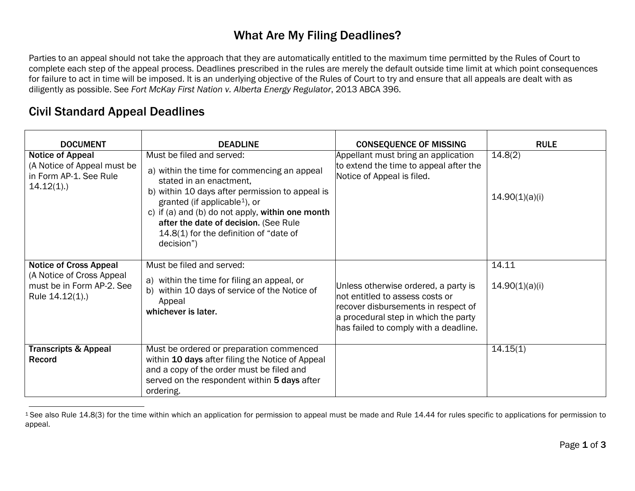## <span id="page-0-0"></span>What Are My Filing Deadlines?

Parties to an appeal should not take the approach that they are automatically entitled to the maximum time permitted by the Rules of Court to complete each step of the appeal process. Deadlines prescribed in the rules are merely the default outside time limit at which point consequences for failure to act in time will be imposed. It is an underlying objective of the Rules of Court to try and ensure that all appeals are dealt with as diligently as possible. See *Fort McKay First Nation v. Alberta Energy Regulator*, 2013 ABCA 396.

## Civil Standard Appeal Deadlines

| <b>DOCUMENT</b>                                                                                            | <b>DEADLINE</b>                                                                                                                                                                                                                                                                                                                                          | <b>CONSEQUENCE OF MISSING</b>                                                                                                                                                                   | <b>RULE</b>               |
|------------------------------------------------------------------------------------------------------------|----------------------------------------------------------------------------------------------------------------------------------------------------------------------------------------------------------------------------------------------------------------------------------------------------------------------------------------------------------|-------------------------------------------------------------------------------------------------------------------------------------------------------------------------------------------------|---------------------------|
| <b>Notice of Appeal</b><br>(A Notice of Appeal must be<br>in Form AP-1. See Rule<br>$14.12(1)$ .           | Must be filed and served:<br>a) within the time for commencing an appeal<br>stated in an enactment.<br>b) within 10 days after permission to appeal is<br>granted (if applicable <sup>1</sup> ), or<br>c) if (a) and (b) do not apply, within one month<br>after the date of decision. (See Rule<br>14.8(1) for the definition of "date of<br>decision") | Appellant must bring an application<br>to extend the time to appeal after the<br>Notice of Appeal is filed.                                                                                     | 14.8(2)<br>14.90(1)(a)(i) |
| <b>Notice of Cross Appeal</b><br>(A Notice of Cross Appeal<br>must be in Form AP-2. See<br>Rule 14.12(1).) | Must be filed and served:<br>a) within the time for filing an appeal, or<br>b) within 10 days of service of the Notice of<br>Appeal<br>whichever is later.                                                                                                                                                                                               | Unless otherwise ordered, a party is<br>not entitled to assess costs or<br>recover disbursements in respect of<br>a procedural step in which the party<br>has failed to comply with a deadline. | 14.11<br>14.90(1)(a)(i)   |
| <b>Transcripts &amp; Appeal</b><br><b>Record</b>                                                           | Must be ordered or preparation commenced<br>within 10 days after filing the Notice of Appeal<br>and a copy of the order must be filed and<br>served on the respondent within 5 days after<br>ordering.                                                                                                                                                   |                                                                                                                                                                                                 | 14.15(1)                  |

<sup>&</sup>lt;sup>1</sup> See also Rule 14.8(3) for the time within which an application for permission to appeal must be made and Rule 14.44 for rules specific to applications for permission to appeal.  $\overline{a}$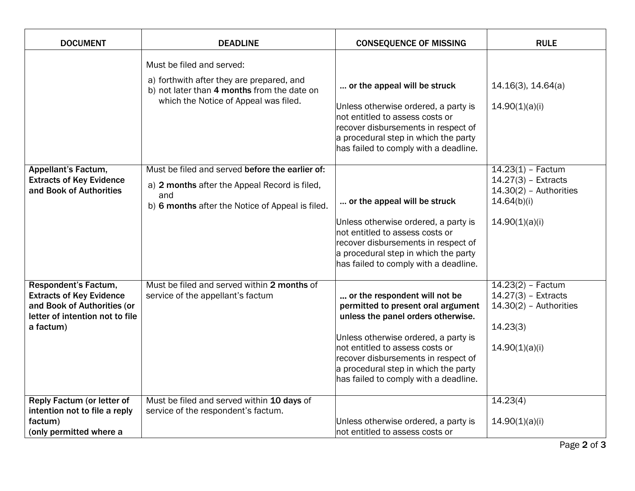| <b>DOCUMENT</b>                                                                                                                        | <b>DEADLINE</b>                                                                                                                                                | <b>CONSEQUENCE OF MISSING</b>                                                                                                                                                                                                                                                                                | <b>RULE</b>                                                                                               |
|----------------------------------------------------------------------------------------------------------------------------------------|----------------------------------------------------------------------------------------------------------------------------------------------------------------|--------------------------------------------------------------------------------------------------------------------------------------------------------------------------------------------------------------------------------------------------------------------------------------------------------------|-----------------------------------------------------------------------------------------------------------|
|                                                                                                                                        | Must be filed and served:<br>a) forthwith after they are prepared, and<br>b) not later than 4 months from the date on<br>which the Notice of Appeal was filed. | or the appeal will be struck<br>Unless otherwise ordered, a party is<br>not entitled to assess costs or<br>recover disbursements in respect of<br>a procedural step in which the party<br>has failed to comply with a deadline.                                                                              | 14.16(3), 14.64(a)<br>14.90(1)(a)(i)                                                                      |
| <b>Appellant's Factum,</b><br><b>Extracts of Key Evidence</b><br>and Book of Authorities                                               | Must be filed and served before the earlier of:<br>a) 2 months after the Appeal Record is filed,<br>and<br>b) 6 months after the Notice of Appeal is filed.    | or the appeal will be struck<br>Unless otherwise ordered, a party is<br>not entitled to assess costs or<br>recover disbursements in respect of<br>a procedural step in which the party<br>has failed to comply with a deadline.                                                                              | $14.23(1) - Factor$<br>$14.27(3)$ - Extracts<br>$14.30(2)$ - Authorities<br>14.64(b)(i)<br>14.90(1)(a)(i) |
| Respondent's Factum,<br><b>Extracts of Key Evidence</b><br>and Book of Authorities (or<br>letter of intention not to file<br>a factum) | Must be filed and served within 2 months of<br>service of the appellant's factum                                                                               | or the respondent will not be<br>permitted to present oral argument<br>unless the panel orders otherwise.<br>Unless otherwise ordered, a party is<br>not entitled to assess costs or<br>recover disbursements in respect of<br>a procedural step in which the party<br>has failed to comply with a deadline. | $14.23(2) - Factor$<br>$14.27(3)$ - Extracts<br>$14.30(2)$ - Authorities<br>14.23(3)<br>14.90(1)(a)(i)    |
| <b>Reply Factum (or letter of</b><br>intention not to file a reply<br>factum)<br>(only permitted where a                               | Must be filed and served within 10 days of<br>service of the respondent's factum.                                                                              | Unless otherwise ordered, a party is<br>not entitled to assess costs or                                                                                                                                                                                                                                      | 14.23(4)<br>14.90(1)(a)(i)                                                                                |